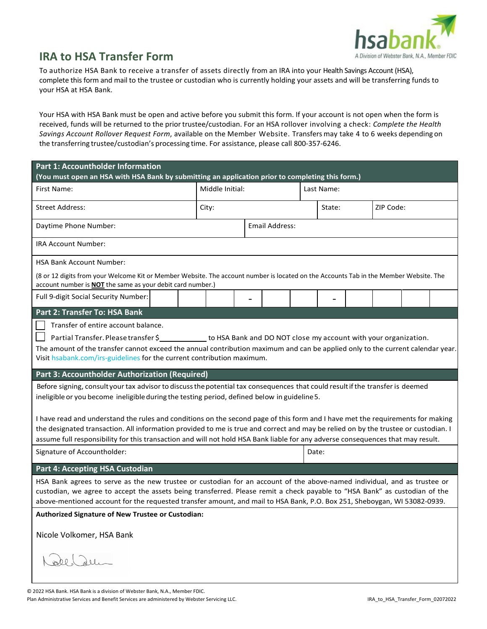

## **IRA to HSA Transfer Form**

To authorize HSA Bank to receive a transfer of assets directly from an IRA into your Health Savings Account (HSA), complete this form and mail to the trustee or custodian who is currently holding your assets and will be transferring funds to your HSA at HSA Bank.

Your HSA with HSA Bank must be open and active before you submit this form. If your account is not open when the form is received, funds will be returned to the priortrustee/custodian. For an HSA rollover involving a check: *Complete the Health Savings Account Rollover Request Form*, available on the Member Website. Transfers may take 4 to 6 weeks depending on the transferring trustee/custodian's processing time. For assistance, please call 800-357-6246.

| <b>Part 1: Accountholder Information</b><br>(You must open an HSA with HSA Bank by submitting an application prior to completing this form.)                                                               |                       |  |  |            |  |           |  |  |
|------------------------------------------------------------------------------------------------------------------------------------------------------------------------------------------------------------|-----------------------|--|--|------------|--|-----------|--|--|
| First Name:                                                                                                                                                                                                | Middle Initial:       |  |  | Last Name: |  |           |  |  |
| <b>Street Address:</b>                                                                                                                                                                                     | City:                 |  |  | State:     |  | ZIP Code: |  |  |
| Daytime Phone Number:                                                                                                                                                                                      | <b>Email Address:</b> |  |  |            |  |           |  |  |
| IRA Account Number:                                                                                                                                                                                        |                       |  |  |            |  |           |  |  |
| <b>HSA Bank Account Number:</b>                                                                                                                                                                            |                       |  |  |            |  |           |  |  |
| (8 or 12 digits from your Welcome Kit or Member Website. The account number is located on the Accounts Tab in the Member Website. The<br>account number is <b>NOT</b> the same as your debit card number.) |                       |  |  |            |  |           |  |  |
| Full 9-digit Social Security Number:                                                                                                                                                                       |                       |  |  |            |  |           |  |  |
| Part 2: Transfer To: HSA Bank                                                                                                                                                                              |                       |  |  |            |  |           |  |  |
| Transfer of entire account balance.                                                                                                                                                                        |                       |  |  |            |  |           |  |  |
| Partial Transfer. Please transfer \$_____________ to HSA Bank and DO NOT close my account with your organization.                                                                                          |                       |  |  |            |  |           |  |  |
| The amount of the transfer cannot exceed the annual contribution maximum and can be applied only to the current calendar year.                                                                             |                       |  |  |            |  |           |  |  |
| Visit hsabank.com/irs-guidelines for the current contribution maximum.                                                                                                                                     |                       |  |  |            |  |           |  |  |
| Part 3: Accountholder Authorization (Required)                                                                                                                                                             |                       |  |  |            |  |           |  |  |
| Before signing, consult your tax advisor to discuss the potential tax consequences that could result if the transfer is deemed                                                                             |                       |  |  |            |  |           |  |  |
| ineligible or you become ineligible during the testing period, defined below in guideline 5.                                                                                                               |                       |  |  |            |  |           |  |  |
|                                                                                                                                                                                                            |                       |  |  |            |  |           |  |  |
| I have read and understand the rules and conditions on the second page of this form and I have met the requirements for making                                                                             |                       |  |  |            |  |           |  |  |
| the designated transaction. All information provided to me is true and correct and may be relied on by the trustee or custodian. I                                                                         |                       |  |  |            |  |           |  |  |
| assume full responsibility for this transaction and will not hold HSA Bank liable for any adverse consequences that may result.                                                                            |                       |  |  |            |  |           |  |  |
| Signature of Accountholder:                                                                                                                                                                                |                       |  |  | Date:      |  |           |  |  |
| Part 4: Accepting HSA Custodian                                                                                                                                                                            |                       |  |  |            |  |           |  |  |
| HSA Bank agrees to serve as the new trustee or custodian for an account of the above-named individual, and as trustee or                                                                                   |                       |  |  |            |  |           |  |  |
| custodian, we agree to accept the assets being transferred. Please remit a check payable to "HSA Bank" as custodian of the                                                                                 |                       |  |  |            |  |           |  |  |
| above-mentioned account for the requested transfer amount, and mail to HSA Bank, P.O. Box 251, Sheboygan, WI 53082-0939.                                                                                   |                       |  |  |            |  |           |  |  |
| Authorized Signature of New Trustee or Custodian:                                                                                                                                                          |                       |  |  |            |  |           |  |  |
| Nicole Volkomer, HSA Bank                                                                                                                                                                                  |                       |  |  |            |  |           |  |  |
|                                                                                                                                                                                                            |                       |  |  |            |  |           |  |  |
|                                                                                                                                                                                                            |                       |  |  |            |  |           |  |  |
|                                                                                                                                                                                                            |                       |  |  |            |  |           |  |  |
|                                                                                                                                                                                                            |                       |  |  |            |  |           |  |  |